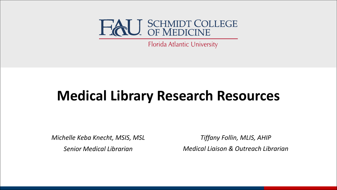

Florida Atlantic University

### **Medical Library Research Resources**

*Michelle Keba Knecht, MSIS, MSL Senior Medical Librarian*

*Tiffany Follin, MLIS, AHIP Medical Liaison & Outreach Librarian*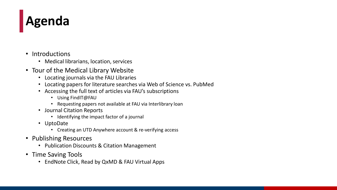## **Agenda**

- Introductions
	- Medical librarians, location, services
- Tour of the Medical Library Website
	- Locating journals via the FAU Libraries
	- Locating papers for literature searches via Web of Science vs. PubMed
	- Accessing the full text of articles via FAU's subscriptions
		- Using FindIT@FAU
		- Requesting papers not available at FAU via Interlibrary loan
	- Journal Citation Reports
		- Identifying the impact factor of a journal
	- UptoDate
		- Creating an UTD Anywhere account & re-verifying access
- Publishing Resources
	- Publication Discounts & Citation Management
- Time Saving Tools
	- EndNote Click, Read by QxMD & FAU Virtual Apps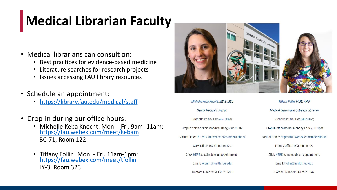# **Medical Librarian Faculty**

- Medical librarians can consult on:
	- Best practices for evidence-based medicine
	- Literature searches for research projects
	- Issues accessing FAU library resources
- Schedule an appointment:
	- <https://library.fau.edu/medical/staff>
- Drop-in during our office hours:
	- Michelle Keba Knecht: Mon. Fri. 9am -11am; <https://fau.webex.com/meet/kebam> BC-71, Room 122
	- Tiffany Follin: Mon. Fri. 11am-1pm; <https://fau.webex.com/meet/tfollin> LY-3, Room 323



Michelle Keba Knecht, MSIS, MSL Senior Medical Librarian Pronouns: She/ Her (what's this?) Drop-in office hours: Monday-Friday, 9am-11am Virtual Office: https://fau.webex.com/meet/kebam COM Office: BC-71, Room 122 Click HERE to schedule an appointment. Email: kebam@health.fau.edu Contact number: 561-297-0689

Tiffany Follin, MLIS, AHIP Medical Liaison and Outreach Librarian Pronouns: She/ Her (what's this?) Drop-in office hours: Monday-Friday, 11-1pm Virtual Office: https://fau.webex.com/meet/tfollin Library Office: LY-3, Room 323 Click HERE to schedule an appointment. Email: tfollin@health.fau.edu Contact number: 561-297-3642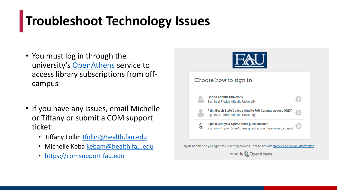### **Troubleshoot Technology Issues**

- You must log in through the university's [OpenAthens](https://library.fau.edu/openathens) service to access library subscriptions from offcampus
- If you have any issues, email Michelle or Tiffany or submit a COM support ticket:
	- Tiffany Follin [tfollin@health.fau.edu](mailto:tfollin@health.fau.edu)
	- Michelle Keba [kebam@health.fau.edu](mailto:kebam@health.fau.edu)
	- <https://comsupport.fau.edu>



By using this site you agree to us setting cookies. Please see our privacy and cookie information.

Powered by Q Open Athens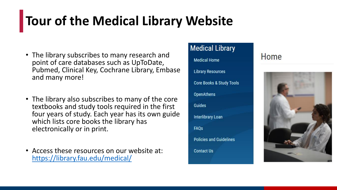# **Tour of the Medical Library Website**

- The library subscribes to many research and point of care databases such as UpToDate, Pubmed, Clinical Key, Cochrane Library, Embase and many more!
- The library also subscribes to many of the core textbooks and study tools required in the first four years of study. Each year has its own guide which lists core books the library has electronically or in print.
- Access these resources on our website at: <https://library.fau.edu/medical/>



### Home

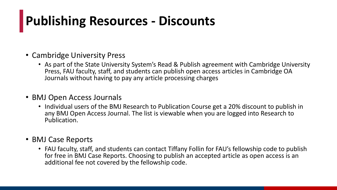## **Publishing Resources - Discounts**

#### • Cambridge University Press

• As part of the State University System's Read & Publish agreement with Cambridge University Press, FAU faculty, staff, and students can publish open access articles in Cambridge OA Journals without having to pay any article processing charges

#### • BMJ Open Access Journals

• Individual users of the BMJ Research to Publication Course get a 20% discount to publish in any BMJ Open Access Journal. The list is viewable when you are logged into Research to Publication.

#### • BMJ Case Reports

• FAU faculty, staff, and students can contact Tiffany Follin for FAU's fellowship code to publish for free in BMJ Case Reports. Choosing to publish an accepted article as open access is an additional fee not covered by the fellowship code.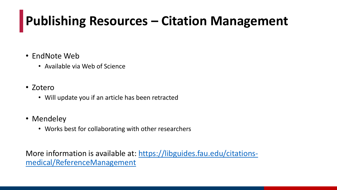# **Publishing Resources – Citation Management**

- EndNote Web
	- Available via Web of Science
- Zotero
	- Will update you if an article has been retracted
- Mendeley
	- Works best for collaborating with other researchers

[More information is available at: https://libguides.fau.edu/citations](https://libguides.fau.edu/citations-medical/ReferenceManagement)medical/ReferenceManagement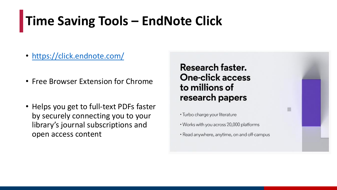## **Time Saving Tools – EndNote Click**

- <https://click.endnote.com/>
- Free Browser Extension for Chrome
- Helps you get to full-text PDFs faster by securely connecting you to your library's journal subscriptions and open access content

#### Research faster. **One-click access** to millions of research papers

- Turbo charge your literature
- Works with you across 20,000 platforms
- Read anywhere, anytime, on and off-campus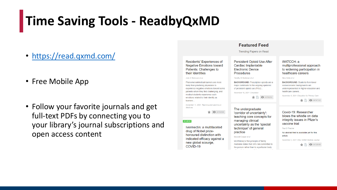## **Time Saving Tools - ReadbyQxMD**

- https://read.qxmd.com/
- Free Mobile App
- Follow your favorite journals and get full-text PDFs by connecting you to your library's journal subscriptions and open access content

#### Residents' Experiences of **Negative Emotions toward** Patients: Challenges to their Identities

Jody E Steinauer et al.

PhenomenonMedical learners are more likely than practicing physicians to experience negative emotions toward some patients whom they find challenging, and medical students experience such emotions related to their identity as learners.

November 11, 2021: Teaching and Learning in Medicine

 $\bullet$  34763598

#### **REVIEW**

Ivermectin: a multifaceted drug of Nobel prizehonoured distinction with indicated efficacy against a new global scourge. COVID-19

#### **Persistent Opioid Use After** Cardiac Implantable **Electronic Device Procedures**

**Featured Feed Trending Papers on Read** 

#### Timothy M Markman et al.

**BACKGROUND:** Prescription opioids are a major contributor to the ongoing epidemic of persistent opioid use (POU).

November 16, 2021: Circulation

#### The undergraduate

'corridor of uncertainty': teaching core concepts for managing clinical uncertainty as the 'special technique' of general practice

Maxwell Cooper et al.

McWhinney's first principle of family medicine states that GPs 'are committed to the person rather than to a particular body **Contract** 

#### WATCCH: a multiprofessional approach to widening participation in healthcare careers

Nina Dutta et al.

**BACKGROUND: Students from lower** socioeconomic backgrounds are underrepresented in higher education and healthcare careers..

November 8, 2021: Education for Primary Care

Covid-19: Researcher blows the whistle on data integrity issues in Pfizer's vaccine trial

Paul D Thacker

No abstract text is available vet for this article.

November 2, 2021: BMJ: British Medical Journal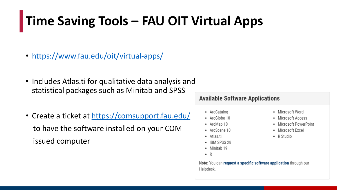## Time Saving Tools - FAU OIT Virtual Apps

- https://www.fau.edu/oit/virtual-apps/
- Includes Atlas.ti for qualitative data analysis and statistical packages such as Minitab and SPSS
- Create a ticket at https://comsupport.fau.edu/ to have the software installed on your COM issued computer

#### **Available Software Applications**

- ArcCatalog
- ArcGlobe 10
- ArcMap 10
- ArcScene 10
- Atlas.ti
- IBM SPSS 28
- Minitab 19
- $\bullet$  R

Note: You can request a specific software application through our Helpdesk.

- Microsoft Word
- Microsoft Access
- Microsoft PowerPoint
- Microsoft Excel
- R Studio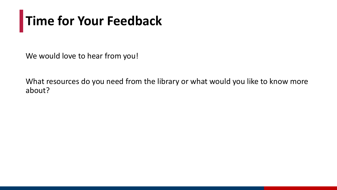# **Time for Your Feedback**

We would love to hear from you!

What resources do you need from the library or what would you like to know more about?